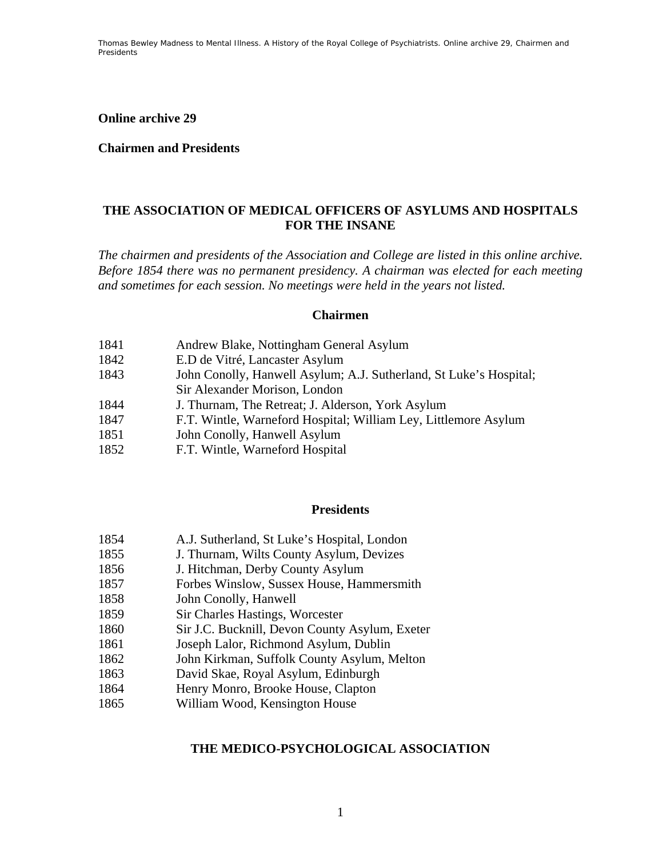**Online archive 29** 

### **Chairmen and Presidents**

### **THE ASSOCIATION OF MEDICAL OFFICERS OF ASYLUMS AND HOSPITALS FOR THE INSANE**

*The chairmen and presidents of the Association and College are listed in this online archive. Before 1854 there was no permanent presidency. A chairman was elected for each meeting and sometimes for each session. No meetings were held in the years not listed.* 

### **Chairmen**

- 1841 Andrew Blake, Nottingham General Asylum
- 1842 E.D de Vitré, Lancaster Asylum
- 1843 John Conolly, Hanwell Asylum; A.J. Sutherland, St Luke's Hospital; Sir Alexander Morison, London
- 1844 J. Thurnam, The Retreat; J. Alderson, York Asylum
- 1847 F.T. Wintle, Warneford Hospital; William Ley, Littlemore Asylum
- 1851 John Conolly, Hanwell Asylum
- 1852 F.T. Wintle, Warneford Hospital

### **Presidents**

- 1854 A.J. Sutherland, St Luke's Hospital, London
- 1855 J. Thurnam, Wilts County Asylum, Devizes
- 1856 J. Hitchman, Derby County Asylum
- 1857 Forbes Winslow, Sussex House, Hammersmith
- 1858 John Conolly, Hanwell
- 1859 Sir Charles Hastings, Worcester
- 1860 Sir J.C. Bucknill, Devon County Asylum, Exeter
- 1861 Joseph Lalor, Richmond Asylum, Dublin
- 1862 John Kirkman, Suffolk County Asylum, Melton
- 1863 David Skae, Royal Asylum, Edinburgh
- 1864 Henry Monro, Brooke House, Clapton
- 1865 William Wood, Kensington House

### **THE MEDICO-PSYCHOLOGICAL ASSOCIATION**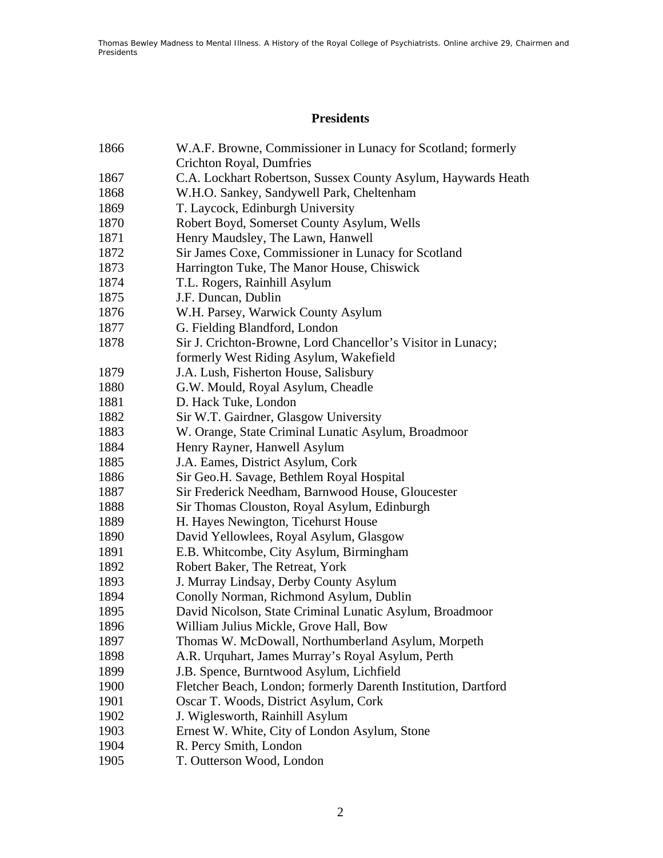# **Presidents**

| 1866 | W.A.F. Browne, Commissioner in Lunacy for Scotland; formerly   |
|------|----------------------------------------------------------------|
|      | <b>Crichton Royal, Dumfries</b>                                |
| 1867 | C.A. Lockhart Robertson, Sussex County Asylum, Haywards Heath  |
| 1868 | W.H.O. Sankey, Sandywell Park, Cheltenham                      |
| 1869 | T. Laycock, Edinburgh University                               |
| 1870 | Robert Boyd, Somerset County Asylum, Wells                     |
| 1871 | Henry Maudsley, The Lawn, Hanwell                              |
| 1872 | Sir James Coxe, Commissioner in Lunacy for Scotland            |
| 1873 | Harrington Tuke, The Manor House, Chiswick                     |
| 1874 | T.L. Rogers, Rainhill Asylum                                   |
| 1875 | J.F. Duncan, Dublin                                            |
| 1876 | W.H. Parsey, Warwick County Asylum                             |
| 1877 | G. Fielding Blandford, London                                  |
| 1878 | Sir J. Crichton-Browne, Lord Chancellor's Visitor in Lunacy;   |
|      | formerly West Riding Asylum, Wakefield                         |
| 1879 | J.A. Lush, Fisherton House, Salisbury                          |
| 1880 | G.W. Mould, Royal Asylum, Cheadle                              |
| 1881 | D. Hack Tuke, London                                           |
| 1882 | Sir W.T. Gairdner, Glasgow University                          |
| 1883 | W. Orange, State Criminal Lunatic Asylum, Broadmoor            |
| 1884 | Henry Rayner, Hanwell Asylum                                   |
| 1885 | J.A. Eames, District Asylum, Cork                              |
| 1886 | Sir Geo.H. Savage, Bethlem Royal Hospital                      |
| 1887 | Sir Frederick Needham, Barnwood House, Gloucester              |
| 1888 | Sir Thomas Clouston, Royal Asylum, Edinburgh                   |
| 1889 | H. Hayes Newington, Ticehurst House                            |
| 1890 | David Yellowlees, Royal Asylum, Glasgow                        |
| 1891 | E.B. Whitcombe, City Asylum, Birmingham                        |
| 1892 | Robert Baker, The Retreat, York                                |
| 1893 | J. Murray Lindsay, Derby County Asylum                         |
| 1894 | Conolly Norman, Richmond Asylum, Dublin                        |
| 1895 | David Nicolson, State Criminal Lunatic Asylum, Broadmoor       |
| 1896 | William Julius Mickle, Grove Hall, Bow                         |
| 1897 | Thomas W. McDowall, Northumberland Asylum, Morpeth             |
| 1898 | A.R. Urquhart, James Murray's Royal Asylum, Perth              |
| 1899 | J.B. Spence, Burntwood Asylum, Lichfield                       |
| 1900 | Fletcher Beach, London; formerly Darenth Institution, Dartford |
| 1901 | Oscar T. Woods, District Asylum, Cork                          |
| 1902 | J. Wiglesworth, Rainhill Asylum                                |
| 1903 | Ernest W. White, City of London Asylum, Stone                  |
| 1904 | R. Percy Smith, London                                         |
| 1905 | T. Outterson Wood, London                                      |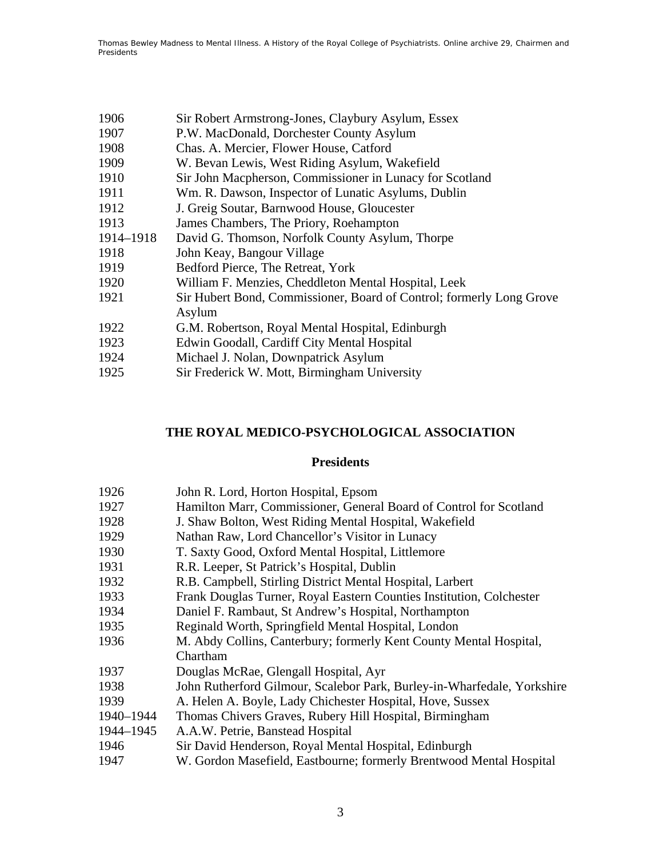| P.W. MacDonald, Dorchester County Asylum<br>1907<br>1908<br>Chas. A. Mercier, Flower House, Catford<br>1909<br>W. Bevan Lewis, West Riding Asylum, Wakefield<br>Sir John Macpherson, Commissioner in Lunacy for Scotland<br>1910<br>1911<br>Wm. R. Dawson, Inspector of Lunatic Asylums, Dublin<br>1912<br>J. Greig Soutar, Barnwood House, Gloucester<br>1913<br>James Chambers, The Priory, Roehampton<br>1914-1918<br>David G. Thomson, Norfolk County Asylum, Thorpe<br>1918<br>John Keay, Bangour Village<br>1919<br>Bedford Pierce, The Retreat, York<br>1920<br>William F. Menzies, Cheddleton Mental Hospital, Leek<br>1921 | 1906 | Sir Robert Armstrong-Jones, Claybury Asylum, Essex                   |
|-------------------------------------------------------------------------------------------------------------------------------------------------------------------------------------------------------------------------------------------------------------------------------------------------------------------------------------------------------------------------------------------------------------------------------------------------------------------------------------------------------------------------------------------------------------------------------------------------------------------------------------|------|----------------------------------------------------------------------|
|                                                                                                                                                                                                                                                                                                                                                                                                                                                                                                                                                                                                                                     |      |                                                                      |
|                                                                                                                                                                                                                                                                                                                                                                                                                                                                                                                                                                                                                                     |      |                                                                      |
|                                                                                                                                                                                                                                                                                                                                                                                                                                                                                                                                                                                                                                     |      |                                                                      |
|                                                                                                                                                                                                                                                                                                                                                                                                                                                                                                                                                                                                                                     |      |                                                                      |
|                                                                                                                                                                                                                                                                                                                                                                                                                                                                                                                                                                                                                                     |      |                                                                      |
|                                                                                                                                                                                                                                                                                                                                                                                                                                                                                                                                                                                                                                     |      |                                                                      |
|                                                                                                                                                                                                                                                                                                                                                                                                                                                                                                                                                                                                                                     |      |                                                                      |
|                                                                                                                                                                                                                                                                                                                                                                                                                                                                                                                                                                                                                                     |      |                                                                      |
|                                                                                                                                                                                                                                                                                                                                                                                                                                                                                                                                                                                                                                     |      |                                                                      |
|                                                                                                                                                                                                                                                                                                                                                                                                                                                                                                                                                                                                                                     |      |                                                                      |
|                                                                                                                                                                                                                                                                                                                                                                                                                                                                                                                                                                                                                                     |      |                                                                      |
|                                                                                                                                                                                                                                                                                                                                                                                                                                                                                                                                                                                                                                     |      | Sir Hubert Bond, Commissioner, Board of Control; formerly Long Grove |
|                                                                                                                                                                                                                                                                                                                                                                                                                                                                                                                                                                                                                                     |      | Asylum                                                               |
| 1922<br>G.M. Robertson, Royal Mental Hospital, Edinburgh                                                                                                                                                                                                                                                                                                                                                                                                                                                                                                                                                                            |      |                                                                      |
| 1923<br>Edwin Goodall, Cardiff City Mental Hospital                                                                                                                                                                                                                                                                                                                                                                                                                                                                                                                                                                                 |      |                                                                      |
| 1924<br>Michael J. Nolan, Downpatrick Asylum                                                                                                                                                                                                                                                                                                                                                                                                                                                                                                                                                                                        |      |                                                                      |
| 1925<br>Sir Frederick W. Mott, Birmingham University                                                                                                                                                                                                                                                                                                                                                                                                                                                                                                                                                                                |      |                                                                      |

# **THE ROYAL MEDICO-PSYCHOLOGICAL ASSOCIATION**

## **Presidents**

| 1926      | John R. Lord, Horton Hospital, Epsom                                    |
|-----------|-------------------------------------------------------------------------|
| 1927      | Hamilton Marr, Commissioner, General Board of Control for Scotland      |
| 1928      | J. Shaw Bolton, West Riding Mental Hospital, Wakefield                  |
| 1929      | Nathan Raw, Lord Chancellor's Visitor in Lunacy                         |
| 1930      | T. Saxty Good, Oxford Mental Hospital, Littlemore                       |
| 1931      | R.R. Leeper, St Patrick's Hospital, Dublin                              |
| 1932      | R.B. Campbell, Stirling District Mental Hospital, Larbert               |
| 1933      | Frank Douglas Turner, Royal Eastern Counties Institution, Colchester    |
| 1934      | Daniel F. Rambaut, St Andrew's Hospital, Northampton                    |
| 1935      | Reginald Worth, Springfield Mental Hospital, London                     |
| 1936      | M. Abdy Collins, Canterbury; formerly Kent County Mental Hospital,      |
|           | Chartham                                                                |
| 1937      | Douglas McRae, Glengall Hospital, Ayr                                   |
| 1938      | John Rutherford Gilmour, Scalebor Park, Burley-in-Wharfedale, Yorkshire |
| 1939      | A. Helen A. Boyle, Lady Chichester Hospital, Hove, Sussex               |
| 1940-1944 | Thomas Chivers Graves, Rubery Hill Hospital, Birmingham                 |
| 1944-1945 | A.A.W. Petrie, Banstead Hospital                                        |
| 1946      | Sir David Henderson, Royal Mental Hospital, Edinburgh                   |
| 1947      | W. Gordon Masefield, Eastbourne; formerly Brentwood Mental Hospital     |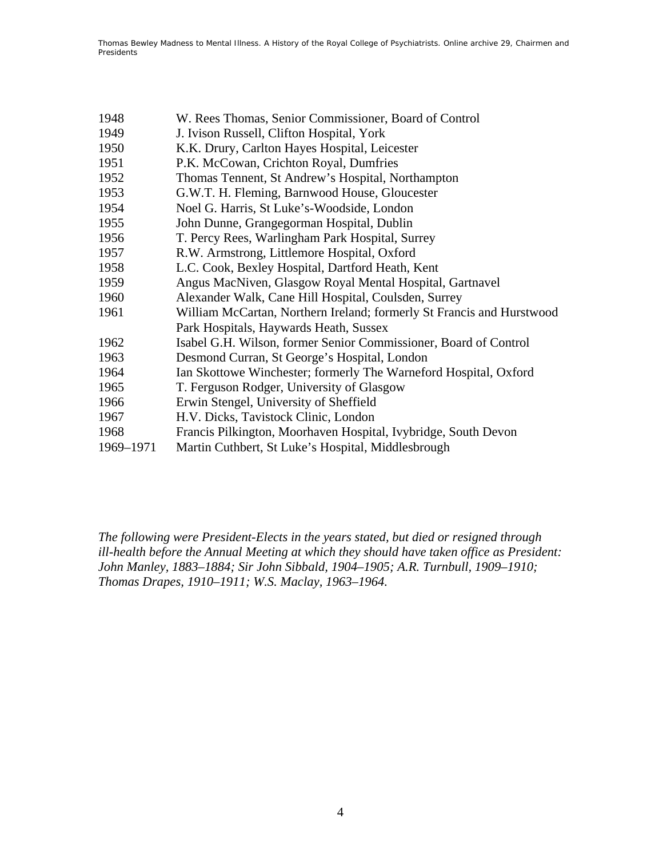| 1948      | W. Rees Thomas, Senior Commissioner, Board of Control                 |
|-----------|-----------------------------------------------------------------------|
| 1949      | J. Ivison Russell, Clifton Hospital, York                             |
| 1950      | K.K. Drury, Carlton Hayes Hospital, Leicester                         |
| 1951      | P.K. McCowan, Crichton Royal, Dumfries                                |
| 1952      | Thomas Tennent, St Andrew's Hospital, Northampton                     |
| 1953      | G.W.T. H. Fleming, Barnwood House, Gloucester                         |
| 1954      | Noel G. Harris, St Luke's-Woodside, London                            |
| 1955      | John Dunne, Grangegorman Hospital, Dublin                             |
| 1956      | T. Percy Rees, Warlingham Park Hospital, Surrey                       |
| 1957      | R.W. Armstrong, Littlemore Hospital, Oxford                           |
| 1958      | L.C. Cook, Bexley Hospital, Dartford Heath, Kent                      |
| 1959      | Angus MacNiven, Glasgow Royal Mental Hospital, Gartnavel              |
| 1960      | Alexander Walk, Cane Hill Hospital, Coulsden, Surrey                  |
| 1961      | William McCartan, Northern Ireland; formerly St Francis and Hurstwood |
|           | Park Hospitals, Haywards Heath, Sussex                                |
| 1962      | Isabel G.H. Wilson, former Senior Commissioner, Board of Control      |
| 1963      | Desmond Curran, St George's Hospital, London                          |
| 1964      | Ian Skottowe Winchester; formerly The Warneford Hospital, Oxford      |
| 1965      | T. Ferguson Rodger, University of Glasgow                             |
| 1966      | Erwin Stengel, University of Sheffield                                |
| 1967      | H.V. Dicks, Tavistock Clinic, London                                  |
| 1968      | Francis Pilkington, Moorhaven Hospital, Ivybridge, South Devon        |
| 1969-1971 | Martin Cuthbert, St Luke's Hospital, Middlesbrough                    |
|           |                                                                       |

*The following were President-Elects in the years stated, but died or resigned through ill-health before the Annual Meeting at which they should have taken office as President: John Manley, 1883–1884; Sir John Sibbald, 1904–1905; A.R. Turnbull, 1909–1910; Thomas Drapes, 1910–1911; W.S. Maclay, 1963–1964.*